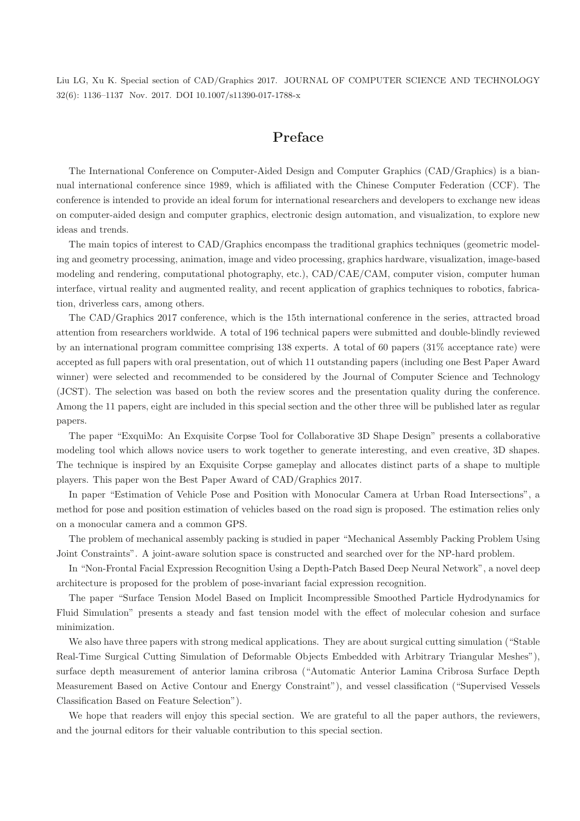Liu LG, Xu K. Special section of CAD/Graphics 2017. JOURNAL OF COMPUTER SCIENCE AND TECHNOLOGY 32(6): 1136–1137 Nov. 2017. DOI 10.1007/s11390-017-1788-x

## Preface

The International Conference on Computer-Aided Design and Computer Graphics (CAD/Graphics) is a biannual international conference since 1989, which is affiliated with the Chinese Computer Federation (CCF). The conference is intended to provide an ideal forum for international researchers and developers to exchange new ideas on computer-aided design and computer graphics, electronic design automation, and visualization, to explore new ideas and trends.

The main topics of interest to CAD/Graphics encompass the traditional graphics techniques (geometric modeling and geometry processing, animation, image and video processing, graphics hardware, visualization, image-based modeling and rendering, computational photography, etc.), CAD/CAE/CAM, computer vision, computer human interface, virtual reality and augmented reality, and recent application of graphics techniques to robotics, fabrication, driverless cars, among others.

The CAD/Graphics 2017 conference, which is the 15th international conference in the series, attracted broad attention from researchers worldwide. A total of 196 technical papers were submitted and double-blindly reviewed by an international program committee comprising 138 experts. A total of 60 papers (31% acceptance rate) were accepted as full papers with oral presentation, out of which 11 outstanding papers (including one Best Paper Award winner) were selected and recommended to be considered by the Journal of Computer Science and Technology (JCST). The selection was based on both the review scores and the presentation quality during the conference. Among the 11 papers, eight are included in this special section and the other three will be published later as regular papers.

The paper "ExquiMo: An Exquisite Corpse Tool for Collaborative 3D Shape Design" presents a collaborative modeling tool which allows novice users to work together to generate interesting, and even creative, 3D shapes. The technique is inspired by an Exquisite Corpse gameplay and allocates distinct parts of a shape to multiple players. This paper won the Best Paper Award of CAD/Graphics 2017.

In paper "Estimation of Vehicle Pose and Position with Monocular Camera at Urban Road Intersections", a method for pose and position estimation of vehicles based on the road sign is proposed. The estimation relies only on a monocular camera and a common GPS.

The problem of mechanical assembly packing is studied in paper "Mechanical Assembly Packing Problem Using Joint Constraints". A joint-aware solution space is constructed and searched over for the NP-hard problem.

In "Non-Frontal Facial Expression Recognition Using a Depth-Patch Based Deep Neural Network", a novel deep architecture is proposed for the problem of pose-invariant facial expression recognition.

The paper "Surface Tension Model Based on Implicit Incompressible Smoothed Particle Hydrodynamics for Fluid Simulation" presents a steady and fast tension model with the effect of molecular cohesion and surface minimization.

We also have three papers with strong medical applications. They are about surgical cutting simulation ("Stable Real-Time Surgical Cutting Simulation of Deformable Objects Embedded with Arbitrary Triangular Meshes"), surface depth measurement of anterior lamina cribrosa ("Automatic Anterior Lamina Cribrosa Surface Depth Measurement Based on Active Contour and Energy Constraint"), and vessel classification ("Supervised Vessels Classification Based on Feature Selection").

We hope that readers will enjoy this special section. We are grateful to all the paper authors, the reviewers, and the journal editors for their valuable contribution to this special section.